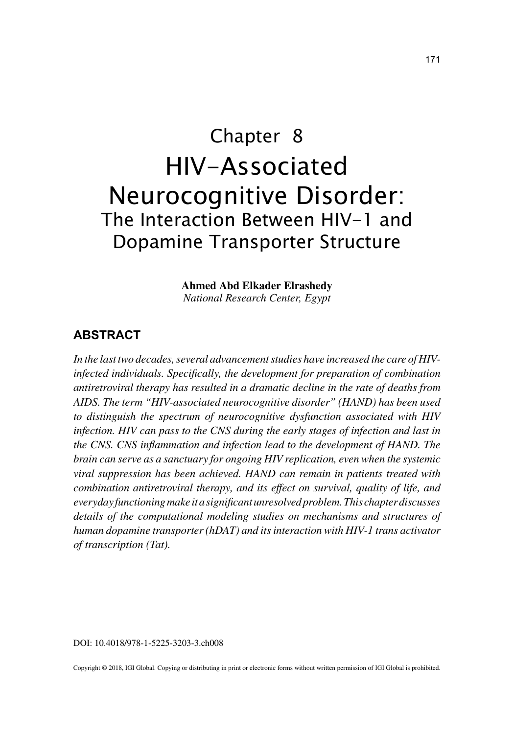# Chapter 8 HIV-Associated Neurocognitive Disorder: The Interaction Between HIV-1 and Dopamine Transporter Structure

**Ahmed Abd Elkader Elrashedy**

*National Research Center, Egypt*

### **ABSTRACT**

*In the last two decades, several advancement studies have increased the care of HIVinfected individuals. Specifically, the development for preparation of combination antiretroviral therapy has resulted in a dramatic decline in the rate of deaths from AIDS. The term "HIV-associated neurocognitive disorder" (HAND) has been used to distinguish the spectrum of neurocognitive dysfunction associated with HIV infection. HIV can pass to the CNS during the early stages of infection and last in the CNS. CNS inflammation and infection lead to the development of HAND. The brain can serve as a sanctuary for ongoing HIV replication, even when the systemic viral suppression has been achieved. HAND can remain in patients treated with combination antiretroviral therapy, and its effect on survival, quality of life, and everyday functioning make it a significant unresolved problem. This chapter discusses details of the computational modeling studies on mechanisms and structures of human dopamine transporter (hDAT) and its interaction with HIV-1 trans activator of transcription (Tat).*

DOI: 10.4018/978-1-5225-3203-3.ch008

Copyright © 2018, IGI Global. Copying or distributing in print or electronic forms without written permission of IGI Global is prohibited.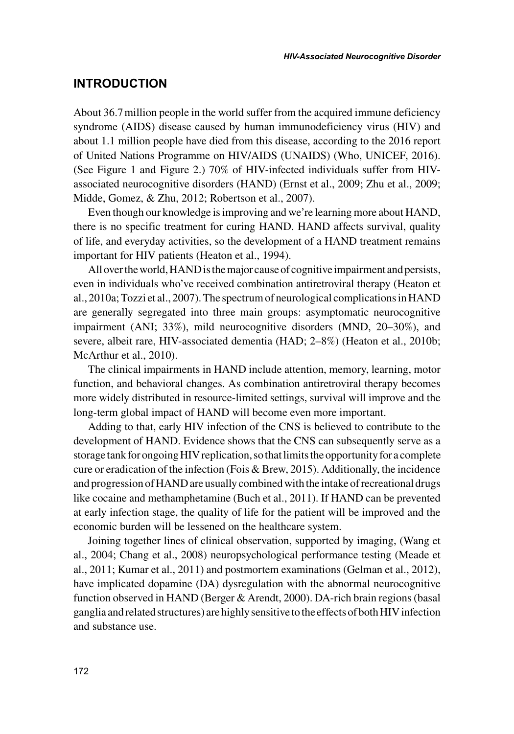#### **INTRODUCTION**

About 36.7million people in the world suffer from the acquired immune deficiency syndrome (AIDS) disease caused by human immunodeficiency virus (HIV) and about 1.1 million people have died from this disease, according to the 2016 report of United Nations Programme on HIV/AIDS (UNAIDS) (Who, UNICEF, 2016). (See Figure 1 and Figure 2.) 70% of HIV-infected individuals suffer from HIVassociated neurocognitive disorders (HAND) (Ernst et al., 2009; Zhu et al., 2009; Midde, Gomez, & Zhu, 2012; Robertson et al., 2007).

Even though our knowledge is improving and we're learning more about HAND, there is no specific treatment for curing HAND. HAND affects survival, quality of life, and everyday activities, so the development of a HAND treatment remains important for HIV patients (Heaton et al., 1994).

All over the world, HAND is the major cause of cognitive impairment and persists, even in individuals who've received combination antiretroviral therapy (Heaton et al., 2010a; Tozzi et al., 2007). The spectrum of neurological complications in HAND are generally segregated into three main groups: asymptomatic neurocognitive impairment (ANI; 33%), mild neurocognitive disorders (MND, 20–30%), and severe, albeit rare, HIV-associated dementia (HAD; 2–8%) (Heaton et al., 2010b; McArthur et al., 2010).

The clinical impairments in HAND include attention, memory, learning, motor function, and behavioral changes. As combination antiretroviral therapy becomes more widely distributed in resource-limited settings, survival will improve and the long-term global impact of HAND will become even more important.

Adding to that, early HIV infection of the CNS is believed to contribute to the development of HAND. Evidence shows that the CNS can subsequently serve as a storage tank for ongoing HIV replication, so that limits the opportunity for a complete cure or eradication of the infection (Fois & Brew, 2015). Additionally, the incidence and progression of HAND are usually combined with the intake of recreational drugs like cocaine and methamphetamine (Buch et al., 2011). If HAND can be prevented at early infection stage, the quality of life for the patient will be improved and the economic burden will be lessened on the healthcare system.

Joining together lines of clinical observation, supported by imaging, (Wang et al., 2004; Chang et al., 2008) neuropsychological performance testing (Meade et al., 2011; Kumar et al., 2011) and postmortem examinations (Gelman et al., 2012), have implicated dopamine (DA) dysregulation with the abnormal neurocognitive function observed in HAND (Berger & Arendt, 2000). DA-rich brain regions (basal ganglia and related structures) are highly sensitive to the effects of both HIV infection and substance use.